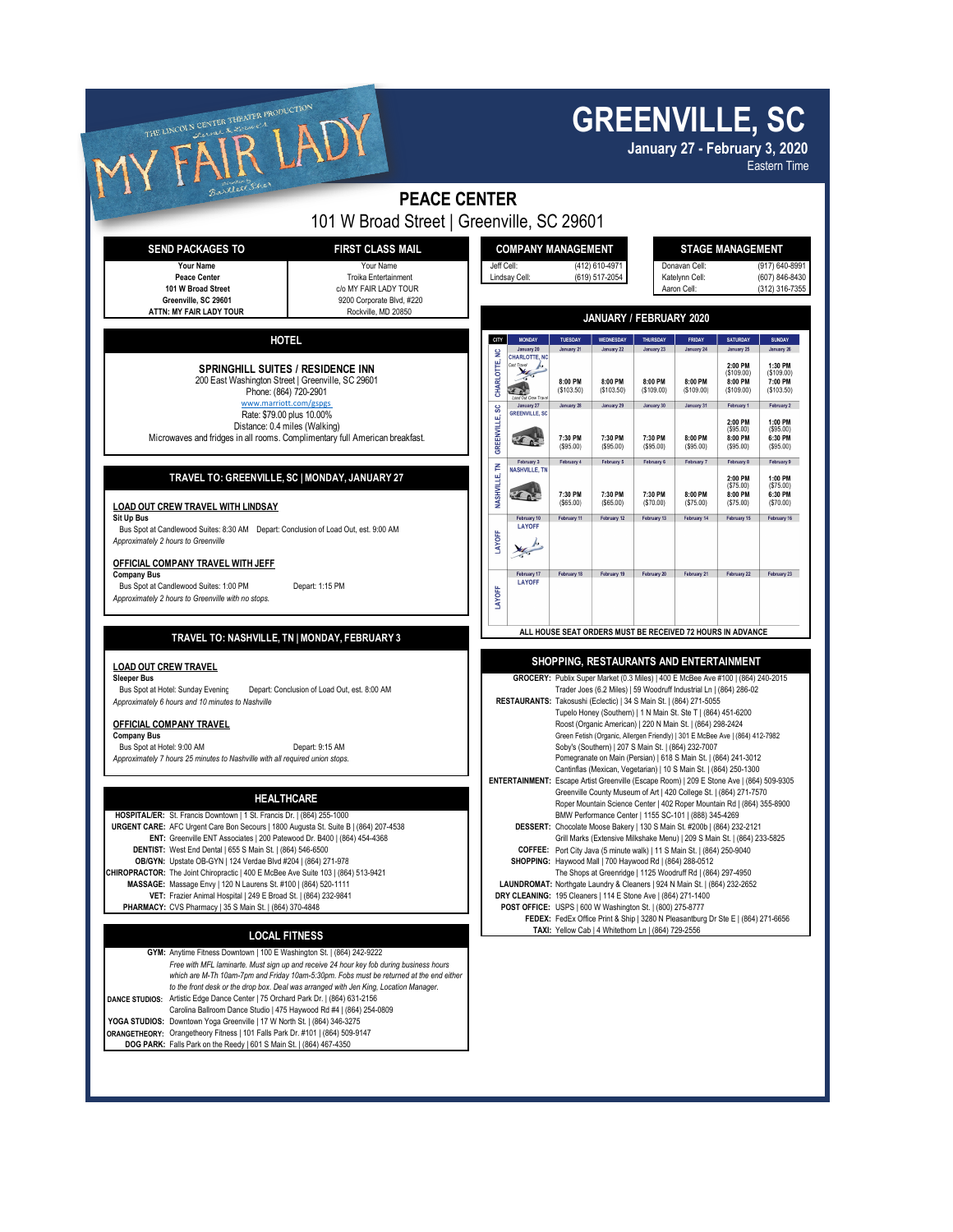| THE LINCOLN CENTER THEATER PRODUCTION                                                                                                                                                                                                                                                                                                                                                                                                                                                                                                                                                                    |                                                                                                                                                                        | <b>GREENVILLE, SC</b><br>January 27 - February 3, 2020<br><b>Eastern Time</b>                                                                                                                                                                                                                                                                                                                                                                                                                                                                                                                                                                                                                                                                                                                                 |                                                           |                                     |                                                     |                                                                                                                                 |                                                                                  |                                                                |                                                              |
|----------------------------------------------------------------------------------------------------------------------------------------------------------------------------------------------------------------------------------------------------------------------------------------------------------------------------------------------------------------------------------------------------------------------------------------------------------------------------------------------------------------------------------------------------------------------------------------------------------|------------------------------------------------------------------------------------------------------------------------------------------------------------------------|---------------------------------------------------------------------------------------------------------------------------------------------------------------------------------------------------------------------------------------------------------------------------------------------------------------------------------------------------------------------------------------------------------------------------------------------------------------------------------------------------------------------------------------------------------------------------------------------------------------------------------------------------------------------------------------------------------------------------------------------------------------------------------------------------------------|-----------------------------------------------------------|-------------------------------------|-----------------------------------------------------|---------------------------------------------------------------------------------------------------------------------------------|----------------------------------------------------------------------------------|----------------------------------------------------------------|--------------------------------------------------------------|
|                                                                                                                                                                                                                                                                                                                                                                                                                                                                                                                                                                                                          | <b>PEACE CENTER</b>                                                                                                                                                    |                                                                                                                                                                                                                                                                                                                                                                                                                                                                                                                                                                                                                                                                                                                                                                                                               |                                                           |                                     |                                                     |                                                                                                                                 |                                                                                  |                                                                |                                                              |
| <b>SEND PACKAGES TO</b><br>Your Name<br><b>Peace Center</b><br>101 W Broad Street<br>Greenville. SC 29601                                                                                                                                                                                                                                                                                                                                                                                                                                                                                                | 101 W Broad Street   Greenville, SC 29601<br><b>FIRST CLASS MAIL</b><br>Your Name<br><b>Troika Entertainment</b><br>c/o MY FAIR LADY TOUR<br>9200 Corporate Blvd, #220 | <b>COMPANY MANAGEMENT</b><br>Jeff Cell:<br>(412) 610-4971<br>(619) 517-2054<br>Lindsav Cell:                                                                                                                                                                                                                                                                                                                                                                                                                                                                                                                                                                                                                                                                                                                  |                                                           |                                     |                                                     | <b>STAGE MANAGEMENT</b><br>Donavan Cell:<br>(917) 640-8991<br>(607) 846-8430<br>Katelynn Cell:<br>(312) 316-7355<br>Aaron Cell: |                                                                                  |                                                                |                                                              |
| ATTN: MY FAIR LADY TOUR                                                                                                                                                                                                                                                                                                                                                                                                                                                                                                                                                                                  | Rockville, MD 20850                                                                                                                                                    | JANUARY / FEBRUARY 2020                                                                                                                                                                                                                                                                                                                                                                                                                                                                                                                                                                                                                                                                                                                                                                                       |                                                           |                                     |                                                     |                                                                                                                                 |                                                                                  |                                                                |                                                              |
| <b>HOTEL</b>                                                                                                                                                                                                                                                                                                                                                                                                                                                                                                                                                                                             |                                                                                                                                                                        | CITY<br>¥                                                                                                                                                                                                                                                                                                                                                                                                                                                                                                                                                                                                                                                                                                                                                                                                     | <b>MONDAY</b><br>January 20                               | TUESDAY<br>January 21               | WEDNESDAY<br>January 22                             | THURSDAY<br>January 23                                                                                                          | FRIDAY<br>January 24                                                             | <b>SATURDAY</b><br>January 25                                  | <b>SUNDAY</b><br>January 26                                  |
| <b>SPRINGHILL SUITES / RESIDENCE INN</b><br>200 East Washington Street   Greenville, SC 29601<br>Phone: (864) 720-2901<br>www.marriott.com/gspgs                                                                                                                                                                                                                                                                                                                                                                                                                                                         |                                                                                                                                                                        | CHARLOTTE,                                                                                                                                                                                                                                                                                                                                                                                                                                                                                                                                                                                                                                                                                                                                                                                                    | <b>HARLOTTE, NC</b><br>$\overline{b}$<br>January 27       | 8:00 PM<br>(\$103.50)<br>January 28 | 8:00 PM<br>(\$103.50)<br>January 29                 | 8:00 PM<br>( \$109.00)<br>January 30                                                                                            | 8:00 PM<br>(\$109.00)<br>January 31                                              | 2:00 PM<br>( \$109.00]<br>8:00 PM<br>( \$109.00)<br>February ' | 1:30 PM<br>(\$109.00)<br>7:00 PM<br>(\$103.50)<br>February 2 |
| Rate: \$79.00 plus 10.00%<br>Distance: 0.4 miles (Walking)<br>Microwaves and fridges in all rooms. Complimentary full American breakfast.                                                                                                                                                                                                                                                                                                                                                                                                                                                                |                                                                                                                                                                        | SC<br>GREENVILLE,                                                                                                                                                                                                                                                                                                                                                                                                                                                                                                                                                                                                                                                                                                                                                                                             | GREENVILLE, SC                                            | 7:30 PM<br>(\$95.00)                | 7:30 PM<br>(\$95.00)                                | 7:30 PM<br>( \$95.00)                                                                                                           | 8:00 PM<br>( \$95.00)                                                            | 2:00 PM<br>( \$95.00)<br>8:00 PM<br>( \$95.00)                 | 1:00 PM<br>( \$95.00)<br>6:30 PM<br>(\$95.00)                |
| TRAVEL TO: GREENVILLE, SC   MONDAY, JANUARY 27<br><b>LOAD OUT CREW TRAVEL WITH LINDSAY</b>                                                                                                                                                                                                                                                                                                                                                                                                                                                                                                               |                                                                                                                                                                        | 콭<br>NASHVILLE,                                                                                                                                                                                                                                                                                                                                                                                                                                                                                                                                                                                                                                                                                                                                                                                               | February 3<br>NASHVILLE, TN<br>R.C.                       | February 4<br>7:30 PM<br>(\$65.00)  | February 5<br>7:30 PM<br>( \$65.00)                 | February 6<br>7:30 PM<br>(S70.00)                                                                                               | February 7<br>8:00 PM<br>(S75.00)                                                | February 8<br>2:00 PM<br>( \$75.00)<br>8:00 PM<br>( \$75.00)   | February 9<br>1:00 PM<br>(\$75.00)<br>6:30 PM<br>(S70.00)    |
| Sit Up Bus<br>Bus Spot at Candlewood Suites: 8:30 AM  Depart: Conclusion of Load Out, est. 9:00 AM<br>Approximately 2 hours to Greenville<br>OFFICIAL COMPANY TRAVEL WITH JEFF                                                                                                                                                                                                                                                                                                                                                                                                                           |                                                                                                                                                                        | LAYOFF                                                                                                                                                                                                                                                                                                                                                                                                                                                                                                                                                                                                                                                                                                                                                                                                        | February 10<br><b>LAYOFF</b>                              | February 11                         | February 12                                         | February 13                                                                                                                     | February 14                                                                      | February 15                                                    | February 16                                                  |
| <b>Company Bus</b><br>Bus Spot at Candlewood Suites: 1:00 PM<br>Depart: 1:15 PM<br>Approximately 2 hours to Greenville with no stops.                                                                                                                                                                                                                                                                                                                                                                                                                                                                    |                                                                                                                                                                        | LAYOFF                                                                                                                                                                                                                                                                                                                                                                                                                                                                                                                                                                                                                                                                                                                                                                                                        | February 17<br><b>LAYOFF</b>                              | February 18                         | February 19                                         | February 20                                                                                                                     | February 21                                                                      | February 22                                                    | February 23                                                  |
| TRAVEL TO: NASHVILLE, TN   MONDAY, FEBRUARY 3                                                                                                                                                                                                                                                                                                                                                                                                                                                                                                                                                            |                                                                                                                                                                        |                                                                                                                                                                                                                                                                                                                                                                                                                                                                                                                                                                                                                                                                                                                                                                                                               |                                                           |                                     |                                                     |                                                                                                                                 | ALL HOUSE SEAT ORDERS MUST BE RECEIVED 72 HOURS IN ADVANCE                       |                                                                |                                                              |
| <b>LOAD OUT CREW TRAVEL</b><br><b>Sleeper Bus</b><br>Bus Spot at Hotel: Sunday Evening<br>Depart: Conclusion of Load Out, est. 8:00 AM<br>Approximately 6 hours and 10 minutes to Nashville<br><b>OFFICIAL COMPANY TRAVEL</b><br><b>Company Bus</b><br>Bus Spot at Hotel: 9:00 AM<br>Depart: 9:15 AM<br>Approximately 7 hours 25 minutes to Nashville with all required union stops.                                                                                                                                                                                                                     |                                                                                                                                                                        | SHOPPING, RESTAURANTS AND ENTERTAINMENT<br>GROCERY: Publix Super Market (0.3 Miles)   400 E McBee Ave #100   (864) 240-2015<br>Trader Joes (6.2 Miles)   59 Woodruff Industrial Ln   (864) 286-02<br>RESTAURANTS: Takosushi (Eclectic)   34 S Main St.   (864) 271-5055<br>Tupelo Honey (Southern)   1 N Main St. Ste T   (864) 451-6200<br>Roost (Organic American)   220 N Main St.   (864) 298-2424<br>Green Fetish (Organic, Allergen Friendly)   301 E McBee Ave   (864) 412-7982<br>Soby's (Southern)   207 S Main St.   (864) 232-7007<br>Pomegranate on Main (Persian)   618 S Main St.   (864) 241-3012<br>Cantinflas (Mexican, Vegetarian)   10 S Main St.   (864) 250-1300                                                                                                                         |                                                           |                                     |                                                     |                                                                                                                                 |                                                                                  |                                                                |                                                              |
| <b>HEALTHCARE</b><br>HOSPITAL/ER: St. Francis Downtown   1 St. Francis Dr.   (864) 255-1000<br>URGENT CARE: AFC Urgent Care Bon Secours   1800 Augusta St. Suite B   (864) 207-4538<br>ENT: Greenville ENT Associates   200 Patewood Dr. B400   (864) 454-4368<br>DENTIST: West End Dental   655 S Main St.   (864) 546-6500<br>OB/GYN: Upstate OB-GYN   124 Verdae Blvd #204   (864) 271-978<br>CHIROPRACTOR: The Joint Chiropractic   400 E McBee Ave Suite 103   (864) 513-9421<br>MASSAGE: Massage Envy   120 N Laurens St. #100   (864) 520-1111                                                    |                                                                                                                                                                        | ENTERTAINMENT: Escape Artist Greenville (Escape Room)   209 E Stone Ave   (864) 509-9305<br>Greenville County Museum of Art   420 College St.   (864) 271-7570<br>Roper Mountain Science Center   402 Roper Mountain Rd   (864) 355-8900<br>BMW Performance Center   1155 SC-101   (888) 345-4269<br>DESSERT: Chocolate Moose Bakery   130 S Main St. #200b   (864) 232-2121<br>Grill Marks (Extensive Milkshake Menu)   209 S Main St.   (864) 233-5825<br>COFFEE: Port City Java (5 minute walk)   11 S Main St.   (864) 250-9040<br>SHOPPING: Haywood Mall   700 Haywood Rd   (864) 288-0512<br>The Shops at Greenridge   1125 Woodruff Rd   (864) 297-4950<br>LAUNDROMAT: Northgate Laundry & Cleaners   924 N Main St.   (864) 232-2652<br>DRY CLEANING: 195 Cleaners   114 E Stone Ave   (864) 271-1400 |                                                           |                                     |                                                     |                                                                                                                                 |                                                                                  |                                                                |                                                              |
| VET: Frazier Animal Hospital   249 E Broad St.   (864) 232-9841<br>PHARMACY: CVS Pharmacy   35 S Main St.   (864) 370-4848<br><b>LOCAL FITNESS</b><br>GYM: Anytime Fitness Downtown   100 E Washington St.   (864) 242-9222<br>Free with MFL laminarte. Must sign up and receive 24 hour key fob during business hours<br>which are M-Th 10am-7pm and Friday 10am-5:30pm. Fobs must be returned at the end either<br>to the front desk or the drop box. Deal was arranged with Jen King, Location Manager.<br>Artistic Edge Dance Center   75 Orchard Park Dr.   (864) 631-2156<br><b>DANCE STUDIOS:</b> |                                                                                                                                                                        |                                                                                                                                                                                                                                                                                                                                                                                                                                                                                                                                                                                                                                                                                                                                                                                                               | POST OFFICE: USPS   600 W Washington St.   (800) 275-8777 |                                     | TAXI: Yellow Cab   4 Whitethorn Ln   (864) 729-2556 |                                                                                                                                 | FEDEX: FedEx Office Print & Ship   3280 N Pleasantburg Dr Ste E   (864) 271-6656 |                                                                |                                                              |

YOGA STUDIOS: Downtown Yoga Greenville | 17 W North St. | (864) 346-3275<br>ORANGETHEORY: Orangetheory Fitness | 101 Falls Park Dr. #101 | (864) 509-9147<br>DOG PARK: Falls Park on the Reedy | 601 S Main St. | (864) 467-4350